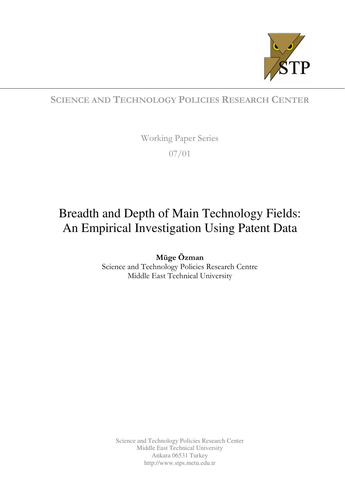

## SCIENCE AND TECHNOLOGY POLICIES RESEARCH CENTER

Working Paper Series

07/01

# Breadth and Depth of Main Technology Fields: An Empirical Investigation Using Patent Data

Müge Özman Science and Technology Policies Research Centre Middle East Technical University

Science and Technology Policies Research Center Middle East Technical University Ankara 06531 Turkey http://www.stps.metu.edu.tr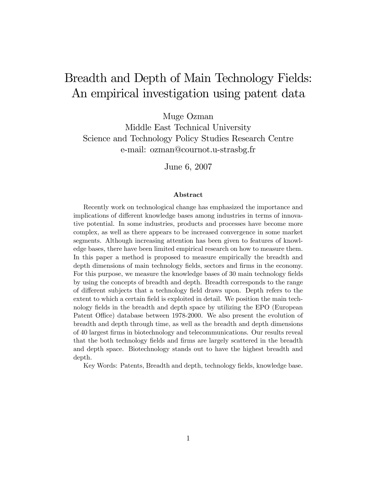## Breadth and Depth of Main Technology Fields: An empirical investigation using patent data

Muge Ozman

Middle East Technical University Science and Technology Policy Studies Research Centre e-mail: ozman@cournot.u-strasbg.fr

June 6, 2007

#### Abstract

Recently work on technological change has emphasized the importance and implications of different knowledge bases among industries in terms of innovative potential. In some industries, products and processes have become more complex, as well as there appears to be increased convergence in some market segments. Although increasing attention has been given to features of knowledge bases, there have been limited empirical research on how to measure them. In this paper a method is proposed to measure empirically the breadth and depth dimensions of main technology fields, sectors and firms in the economy. For this purpose, we measure the knowledge bases of 30 main technology fields by using the concepts of breadth and depth. Breadth corresponds to the range of different subjects that a technology field draws upon. Depth refers to the extent to which a certain field is exploited in detail. We position the main technology fields in the breadth and depth space by utilizing the EPO (European Patent Office) database between 1978-2000. We also present the evolution of breadth and depth through time, as well as the breadth and depth dimensions of 40 largest Örms in biotechnology and telecommunications. Our results reveal that the both technology fields and firms are largely scattered in the breadth and depth space. Biotechnology stands out to have the highest breadth and depth.

Key Words: Patents, Breadth and depth, technology fields, knowledge base.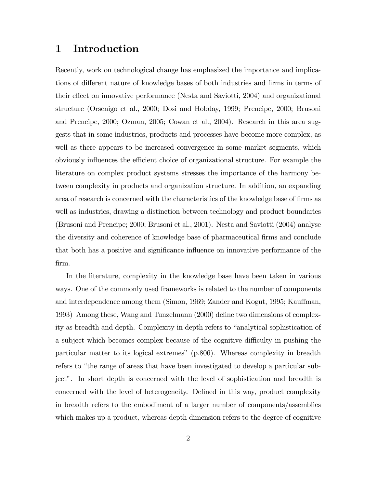## 1 Introduction

Recently, work on technological change has emphasized the importance and implications of different nature of knowledge bases of both industries and firms in terms of their effect on innovative performance (Nesta and Saviotti, 2004) and organizational structure (Orsenigo et al., 2000; Dosi and Hobday, 1999; Prencipe, 2000; Brusoni and Prencipe, 2000; Ozman, 2005; Cowan et al., 2004). Research in this area suggests that in some industries, products and processes have become more complex, as well as there appears to be increased convergence in some market segments, which obviously influences the efficient choice of organizational structure. For example the literature on complex product systems stresses the importance of the harmony between complexity in products and organization structure. In addition, an expanding area of research is concerned with the characteristics of the knowledge base of firms as well as industries, drawing a distinction between technology and product boundaries (Brusoni and Prencipe; 2000; Brusoni et al., 2001). Nesta and Saviotti (2004) analyse the diversity and coherence of knowledge base of pharmaceutical firms and conclude that both has a positive and significance influence on innovative performance of the Örm.

In the literature, complexity in the knowledge base have been taken in various ways. One of the commonly used frameworks is related to the number of components and interdependence among them (Simon, 1969; Zander and Kogut, 1995; Kauffman, 1993) Among these, Wang and Tunzelmann (2000) define two dimensions of complexity as breadth and depth. Complexity in depth refers to "analytical sophistication of a subject which becomes complex because of the cognitive difficulty in pushing the particular matter to its logical extremesî (p.806). Whereas complexity in breadth refers to "the range of areas that have been investigated to develop a particular subject". In short depth is concerned with the level of sophistication and breadth is concerned with the level of heterogeneity. Defined in this way, product complexity in breadth refers to the embodiment of a larger number of components/assemblies which makes up a product, whereas depth dimension refers to the degree of cognitive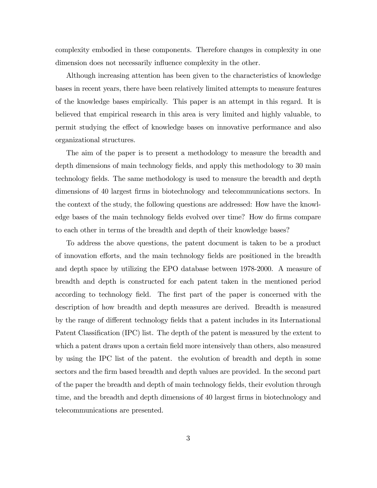complexity embodied in these components. Therefore changes in complexity in one dimension does not necessarily influence complexity in the other.

Although increasing attention has been given to the characteristics of knowledge bases in recent years, there have been relatively limited attempts to measure features of the knowledge bases empirically. This paper is an attempt in this regard. It is believed that empirical research in this area is very limited and highly valuable, to permit studying the effect of knowledge bases on innovative performance and also organizational structures.

The aim of the paper is to present a methodology to measure the breadth and depth dimensions of main technology fields, and apply this methodology to 30 main technology fields. The same methodology is used to measure the breadth and depth dimensions of 40 largest Örms in biotechnology and telecommunications sectors. In the context of the study, the following questions are addressed: How have the knowledge bases of the main technology fields evolved over time? How do firms compare to each other in terms of the breadth and depth of their knowledge bases?

To address the above questions, the patent document is taken to be a product of innovation efforts, and the main technology fields are positioned in the breadth and depth space by utilizing the EPO database between 1978-2000. A measure of breadth and depth is constructed for each patent taken in the mentioned period according to technology field. The first part of the paper is concerned with the description of how breadth and depth measures are derived. Breadth is measured by the range of different technology fields that a patent includes in its International Patent Classification (IPC) list. The depth of the patent is measured by the extent to which a patent draws upon a certain field more intensively than others, also measured by using the IPC list of the patent. the evolution of breadth and depth in some sectors and the firm based breadth and depth values are provided. In the second part of the paper the breadth and depth of main technology Öelds, their evolution through time, and the breadth and depth dimensions of 40 largest firms in biotechnology and telecommunications are presented.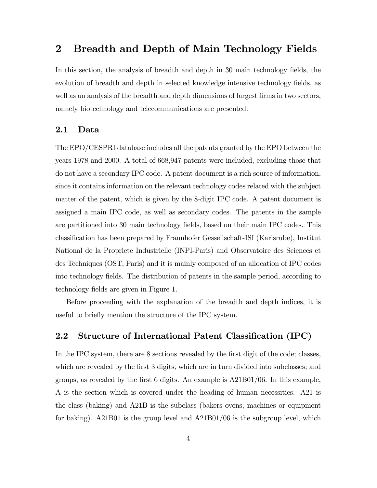## 2 Breadth and Depth of Main Technology Fields

In this section, the analysis of breadth and depth in 30 main technology fields, the evolution of breadth and depth in selected knowledge intensive technology fields, as well as an analysis of the breadth and depth dimensions of largest firms in two sectors, namely biotechnology and telecommunications are presented.

#### 2.1 Data

The EPO/CESPRI database includes all the patents granted by the EPO between the years 1978 and 2000. A total of 668,947 patents were included, excluding those that do not have a secondary IPC code. A patent document is a rich source of information, since it contains information on the relevant technology codes related with the subject matter of the patent, which is given by the 8-digit IPC code. A patent document is assigned a main IPC code, as well as secondary codes. The patents in the sample are partitioned into 30 main technology Öelds, based on their main IPC codes. This classiÖcation has been prepared by Fraunhofer Gessellschaft-ISI (Karlsrube), Institut National de la Propriete Industrielle (INPI-Paris) and Observatoire des Sciences et des Techniques (OST, Paris) and it is mainly composed of an allocation of IPC codes into technology fields. The distribution of patents in the sample period, according to technology fields are given in Figure 1.

Before proceeding with the explanation of the breadth and depth indices, it is useful to briefly mention the structure of the IPC system.

#### 2.2 Structure of International Patent Classification (IPC)

In the IPC system, there are 8 sections revealed by the first digit of the code; classes, which are revealed by the first 3 digits, which are in turn divided into subclasses; and groups, as revealed by the first 6 digits. An example is  $A21B01/06$ . In this example, A is the section which is covered under the heading of human necessities. A21 is the class (baking) and A21B is the subclass (bakers ovens, machines or equipment for baking). A21B01 is the group level and A21B01/06 is the subgroup level, which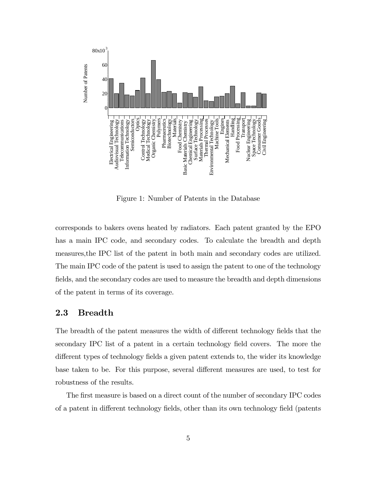

Figure 1: Number of Patents in the Database

corresponds to bakers ovens heated by radiators. Each patent granted by the EPO has a main IPC code, and secondary codes. To calculate the breadth and depth measures,the IPC list of the patent in both main and secondary codes are utilized. The main IPC code of the patent is used to assign the patent to one of the technology fields, and the secondary codes are used to measure the breadth and depth dimensions of the patent in terms of its coverage.

#### 2.3 Breadth

The breadth of the patent measures the width of different technology fields that the secondary IPC list of a patent in a certain technology field covers. The more the different types of technology fields a given patent extends to, the wider its knowledge base taken to be. For this purpose, several different measures are used, to test for robustness of the results.

The first measure is based on a direct count of the number of secondary IPC codes of a patent in different technology fields, other than its own technology field (patents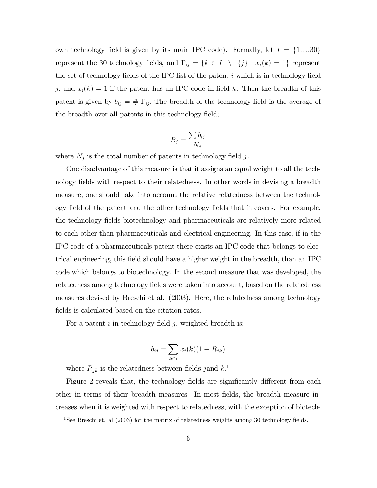own technology field is given by its main IPC code). Formally, let  $I = \{1,....30\}$ represent the 30 technology fields, and  $\Gamma_{ij} = \{k \in I \setminus \{j\} \mid x_i(k) = 1\}$  represent the set of technology fields of the IPC list of the patent  $i$  which is in technology field j, and  $x_i(k) = 1$  if the patent has an IPC code in field k. Then the breadth of this patent is given by  $b_{ij} = # \Gamma_{ij}$ . The breadth of the technology field is the average of the breadth over all patents in this technology field;

$$
B_j = \frac{\sum b_{ij}}{N_j}
$$

where  $N_j$  is the total number of patents in technology field j.

One disadvantage of this measure is that it assigns an equal weight to all the technology fields with respect to their relatedness. In other words in devising a breadth measure, one should take into account the relative relatedness between the technology Öeld of the patent and the other technology Öelds that it covers. For example, the technology fields biotechnology and pharmaceuticals are relatively more related to each other than pharmaceuticals and electrical engineering. In this case, if in the IPC code of a pharmaceuticals patent there exists an IPC code that belongs to electrical engineering, this Öeld should have a higher weight in the breadth, than an IPC code which belongs to biotechnology. In the second measure that was developed, the relatedness among technology fields were taken into account, based on the relatedness measures devised by Breschi et al. (2003). Here, the relatedness among technology fields is calculated based on the citation rates.

For a patent  $i$  in technology field  $j$ , weighted breadth is:

$$
b_{ij} = \sum_{k \in I} x_i(k)(1 - R_{jk})
$$

where  $R_{jk}$  is the relatedness between fields jand  $k$ <sup>1</sup>

Figure 2 reveals that, the technology fields are significantly different from each other in terms of their breadth measures. In most Öelds, the breadth measure increases when it is weighted with respect to relatedness, with the exception of biotech-

<sup>&</sup>lt;sup>1</sup>See Breschi et. al  $(2003)$  for the matrix of relatedness weights among 30 technology fields.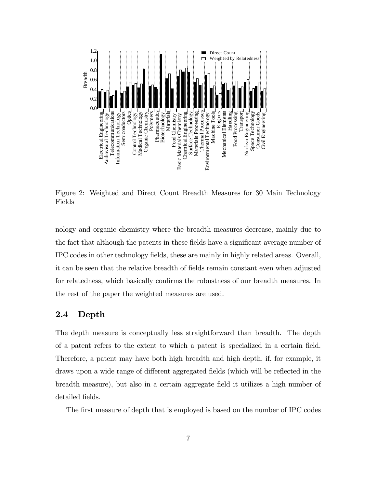

Figure 2: Weighted and Direct Count Breadth Measures for 30 Main Technology Fields

nology and organic chemistry where the breadth measures decrease, mainly due to the fact that although the patents in these fields have a significant average number of IPC codes in other technology Öelds, these are mainly in highly related areas. Overall, it can be seen that the relative breadth of Öelds remain constant even when adjusted for relatedness, which basically confirms the robustness of our breadth measures. In the rest of the paper the weighted measures are used.

#### 2.4 Depth

The depth measure is conceptually less straightforward than breadth. The depth of a patent refers to the extent to which a patent is specialized in a certain Öeld. Therefore, a patent may have both high breadth and high depth, if, for example, it draws upon a wide range of different aggregated fields (which will be reflected in the breadth measure), but also in a certain aggregate Öeld it utilizes a high number of detailed fields.

The first measure of depth that is employed is based on the number of IPC codes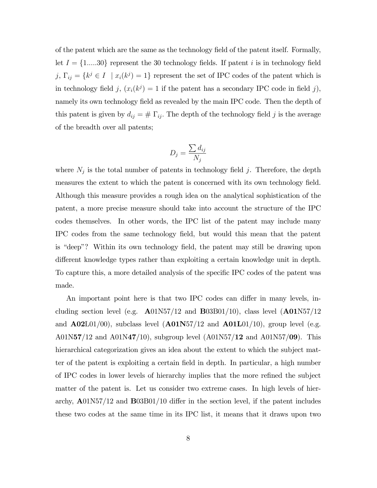of the patent which are the same as the technology Öeld of the patent itself. Formally, let  $I = \{1,....30\}$  represent the 30 technology fields. If patent i is in technology field j,  $\Gamma_{ij} = \{k^j \in I \mid x_i(k^j) = 1\}$  represent the set of IPC codes of the patent which is in technology field j,  $(x_i(k^j) = 1$  if the patent has a secondary IPC code in field j), namely its own technology field as revealed by the main IPC code. Then the depth of this patent is given by  $d_{ij} = # \Gamma_{ij}$ . The depth of the technology field j is the average of the breadth over all patents;

$$
D_j = \frac{\sum d_{ij}}{N_j}
$$

where  $N_j$  is the total number of patents in technology field j. Therefore, the depth measures the extent to which the patent is concerned with its own technology field. Although this measure provides a rough idea on the analytical sophistication of the patent, a more precise measure should take into account the structure of the IPC codes themselves. In other words, the IPC list of the patent may include many IPC codes from the same technology Öeld, but would this mean that the patent is "deep"? Within its own technology field, the patent may still be drawing upon different knowledge types rather than exploiting a certain knowledge unit in depth. To capture this, a more detailed analysis of the specific IPC codes of the patent was made.

An important point here is that two IPC codes can differ in many levels, including section level (e.g.  $\text{A}01\text{N}57/12$  and  $\text{B}03\text{B}01/10$ ), class level  $(\text{A}01\text{N}57/12)$ and  $\mathbf{A02L01/00}$ , subclass level  $(\mathbf{A01N57/12}$  and  $\mathbf{A01L01/10}$ , group level (e.g. A01N57/12 and A01N47/10), subgroup level  $(A01N57/12$  and  $A01N57/09$ . This hierarchical categorization gives an idea about the extent to which the subject matter of the patent is exploiting a certain Öeld in depth. In particular, a high number of IPC codes in lower levels of hierarchy implies that the more refined the subject matter of the patent is. Let us consider two extreme cases. In high levels of hierarchy,  $\mathbf{A}01\text{N}57/12$  and  $\mathbf{B}03\text{B}01/10$  differ in the section level, if the patent includes these two codes at the same time in its IPC list, it means that it draws upon two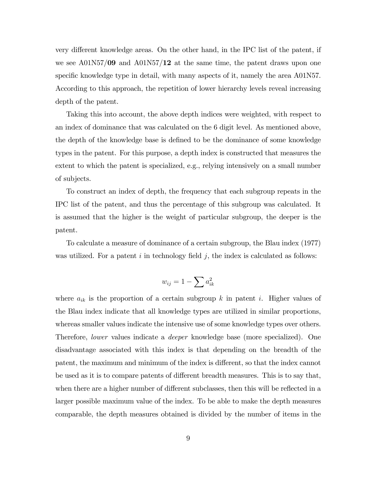very different knowledge areas. On the other hand, in the IPC list of the patent, if we see  $A01N57/09$  and  $A01N57/12$  at the same time, the patent draws upon one specific knowledge type in detail, with many aspects of it, namely the area A01N57. According to this approach, the repetition of lower hierarchy levels reveal increasing depth of the patent.

Taking this into account, the above depth indices were weighted, with respect to an index of dominance that was calculated on the 6 digit level. As mentioned above, the depth of the knowledge base is defined to be the dominance of some knowledge types in the patent. For this purpose, a depth index is constructed that measures the extent to which the patent is specialized, e.g., relying intensively on a small number of subjects.

To construct an index of depth, the frequency that each subgroup repeats in the IPC list of the patent, and thus the percentage of this subgroup was calculated. It is assumed that the higher is the weight of particular subgroup, the deeper is the patent.

To calculate a measure of dominance of a certain subgroup, the Blau index (1977) was utilized. For a patent  $i$  in technology field  $j$ , the index is calculated as follows:

$$
w_{ij} = 1 - \sum a_{ik}^2
$$

where  $a_{ik}$  is the proportion of a certain subgroup k in patent i. Higher values of the Blau index indicate that all knowledge types are utilized in similar proportions, whereas smaller values indicate the intensive use of some knowledge types over others. Therefore, lower values indicate a deeper knowledge base (more specialized). One disadvantage associated with this index is that depending on the breadth of the patent, the maximum and minimum of the index is different, so that the index cannot be used as it is to compare patents of different breadth measures. This is to say that, when there are a higher number of different subclasses, then this will be reflected in a larger possible maximum value of the index. To be able to make the depth measures comparable, the depth measures obtained is divided by the number of items in the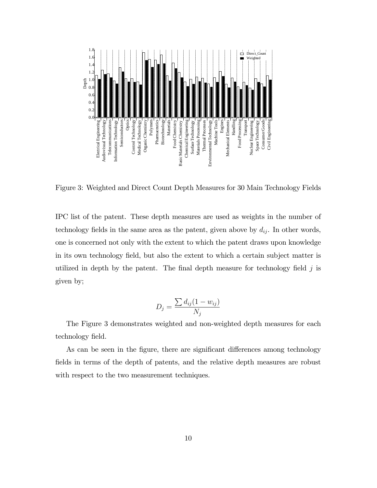

Figure 3: Weighted and Direct Count Depth Measures for 30 Main Technology Fields

IPC list of the patent. These depth measures are used as weights in the number of technology fields in the same area as the patent, given above by  $d_{ij}$ . In other words, one is concerned not only with the extent to which the patent draws upon knowledge in its own technology field, but also the extent to which a certain subject matter is utilized in depth by the patent. The final depth measure for technology field  $j$  is given by;

$$
D_j = \frac{\sum d_{ij}(1 - w_{ij})}{N_j}
$$

The Figure 3 demonstrates weighted and non-weighted depth measures for each technology field.

As can be seen in the figure, there are significant differences among technology fields in terms of the depth of patents, and the relative depth measures are robust with respect to the two measurement techniques.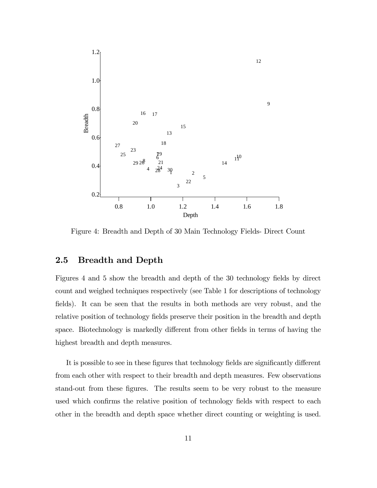

Figure 4: Breadth and Depth of 30 Main Technology Fields- Direct Count

#### 2.5 Breadth and Depth

Figures 4 and 5 show the breadth and depth of the 30 technology fields by direct count and weighed techniques respectively (see Table 1 for descriptions of technology fields). It can be seen that the results in both methods are very robust, and the relative position of technology fields preserve their position in the breadth and depth space. Biotechnology is markedly different from other fields in terms of having the highest breadth and depth measures.

It is possible to see in these figures that technology fields are significantly different from each other with respect to their breadth and depth measures. Few observations stand-out from these figures. The results seem to be very robust to the measure used which confirms the relative position of technology fields with respect to each other in the breadth and depth space whether direct counting or weighting is used.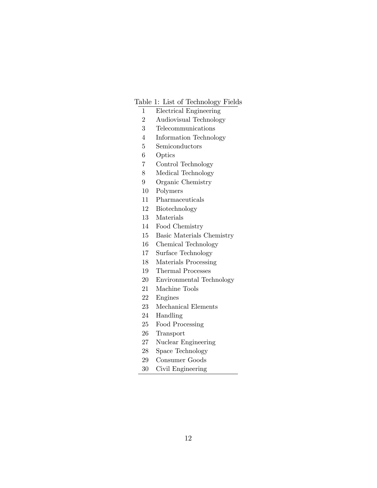#### Table 1: List of Technology Fields

- 1 Electrical Engineering
- 2 Audiovisual Technology
- 3 Telecommunications
- 4 Information Technology
- 5 Semiconductors
- 6 Optics
- 7 Control Technology
- 8 Medical Technology
- 9 Organic Chemistry
- 10 Polymers
- 11 Pharmaceuticals
- 12 Biotechnology
- 13 Materials
- 14 Food Chemistry
- 15 Basic Materials Chemistry
- 16 Chemical Technology
- 17 Surface Technology
- 18 Materials Processing
- 19 Thermal Processes
- 20 Environmental Technology
- 21 Machine Tools
- 22 Engines
- 23 Mechanical Elements
- 24 Handling
- 25 Food Processing
- 26 Transport
- 27 Nuclear Engineering
- 28 Space Technology
- 29 Consumer Goods
- 30 Civil Engineering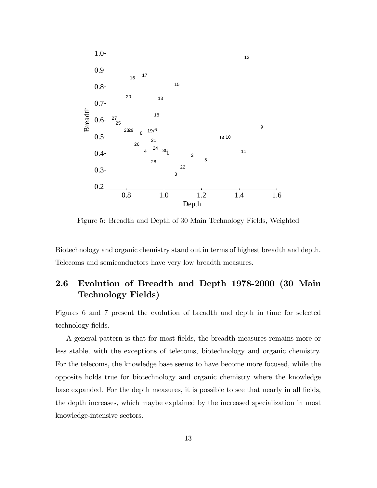

Figure 5: Breadth and Depth of 30 Main Technology Fields, Weighted

Biotechnology and organic chemistry stand out in terms of highest breadth and depth. Telecoms and semiconductors have very low breadth measures.

## 2.6 Evolution of Breadth and Depth 1978-2000 (30 Main Technology Fields)

Figures 6 and 7 present the evolution of breadth and depth in time for selected technology fields.

A general pattern is that for most fields, the breadth measures remains more or less stable, with the exceptions of telecoms, biotechnology and organic chemistry. For the telecoms, the knowledge base seems to have become more focused, while the opposite holds true for biotechnology and organic chemistry where the knowledge base expanded. For the depth measures, it is possible to see that nearly in all fields, the depth increases, which maybe explained by the increased specialization in most knowledge-intensive sectors.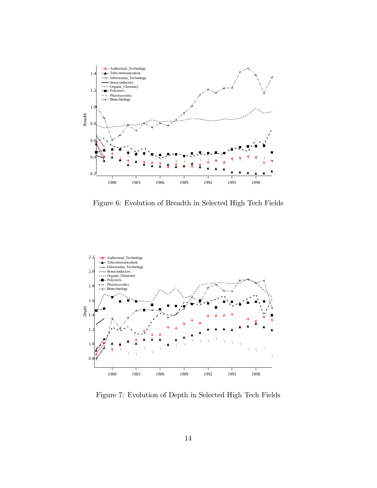

Figure 6: Evolution of Breadth in Selected High Tech Fields



Figure 7: Evolution of Depth in Selected High Tech Fields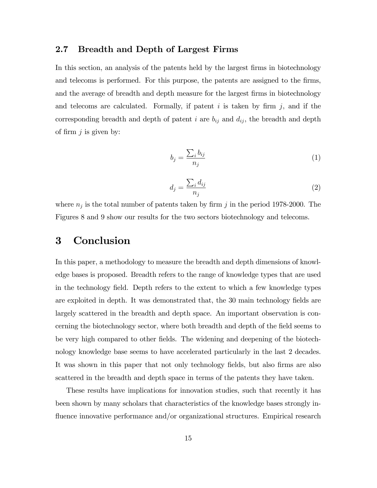#### 2.7 Breadth and Depth of Largest Firms

In this section, an analysis of the patents held by the largest firms in biotechnology and telecoms is performed. For this purpose, the patents are assigned to the firms, and the average of breadth and depth measure for the largest firms in biotechnology and telecoms are calculated. Formally, if patent  $i$  is taken by firm  $j$ , and if the corresponding breadth and depth of patent i are  $b_{ij}$  and  $d_{ij}$ , the breadth and depth of firm  $j$  is given by:

$$
b_j = \frac{\sum_i b_{ij}}{n_j} \tag{1}
$$

$$
d_j = \frac{\sum_i d_{ij}}{n_j} \tag{2}
$$

where  $n_j$  is the total number of patents taken by firm j in the period 1978-2000. The Figures 8 and 9 show our results for the two sectors biotechnology and telecoms.

## 3 Conclusion

In this paper, a methodology to measure the breadth and depth dimensions of knowledge bases is proposed. Breadth refers to the range of knowledge types that are used in the technology field. Depth refers to the extent to which a few knowledge types are exploited in depth. It was demonstrated that, the 30 main technology fields are largely scattered in the breadth and depth space. An important observation is concerning the biotechnology sector, where both breadth and depth of the field seems to be very high compared to other fields. The widening and deepening of the biotechnology knowledge base seems to have accelerated particularly in the last 2 decades. It was shown in this paper that not only technology fields, but also firms are also scattered in the breadth and depth space in terms of the patents they have taken.

These results have implications for innovation studies, such that recently it has been shown by many scholars that characteristics of the knowledge bases strongly influence innovative performance and/or organizational structures. Empirical research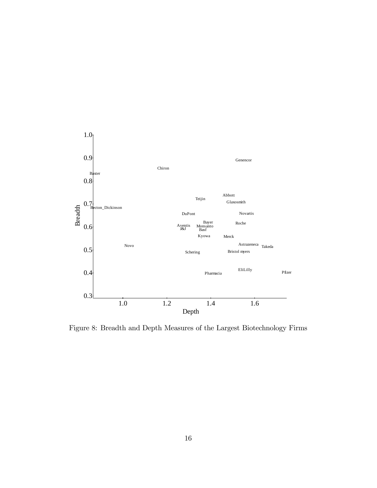

Figure 8: Breadth and Depth Measures of the Largest Biotechnology Firms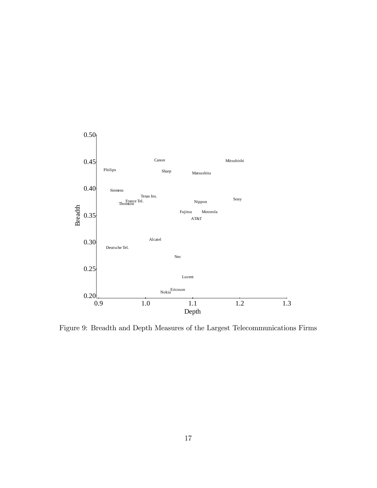

Figure 9: Breadth and Depth Measures of the Largest Telecommunications Firms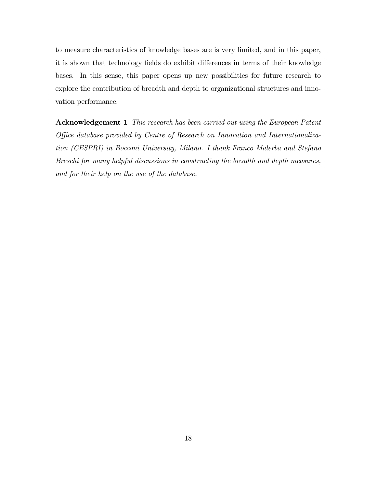to measure characteristics of knowledge bases are is very limited, and in this paper, it is shown that technology fields do exhibit differences in terms of their knowledge bases. In this sense, this paper opens up new possibilities for future research to explore the contribution of breadth and depth to organizational structures and innovation performance.

Acknowledgement 1 This research has been carried out using the European Patent Office database provided by Centre of Research on Innovation and Internationalization (CESPRI) in Bocconi University, Milano. I thank Franco Malerba and Stefano Breschi for many helpful discussions in constructing the breadth and depth measures, and for their help on the use of the database.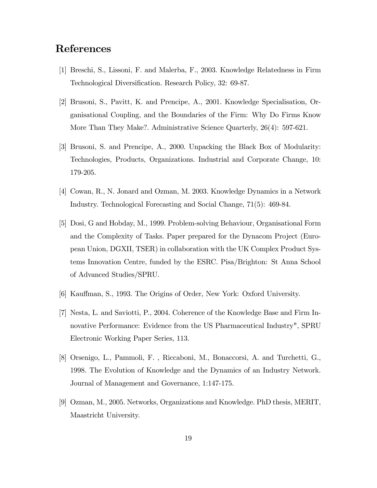## References

- [1] Breschi, S., Lissoni, F. and Malerba, F., 2003. Knowledge Relatedness in Firm Technological Diversification. Research Policy, 32: 69-87.
- [2] Brusoni, S., Pavitt, K. and Prencipe, A., 2001. Knowledge Specialisation, Organisational Coupling, and the Boundaries of the Firm: Why Do Firms Know More Than They Make?. Administrative Science Quarterly, 26(4): 597-621.
- [3] Brusoni, S. and Prencipe, A., 2000. Unpacking the Black Box of Modularity: Technologies, Products, Organizations. Industrial and Corporate Change, 10: 179-205.
- [4] Cowan, R., N. Jonard and Ozman, M. 2003. Knowledge Dynamics in a Network Industry. Technological Forecasting and Social Change, 71(5): 469-84.
- [5] Dosi, G and Hobday, M., 1999. Problem-solving Behaviour, Organisational Form and the Complexity of Tasks. Paper prepared for the Dynacom Project (European Union, DGXII, TSER) in collaboration with the UK Complex Product Systems Innovation Centre, funded by the ESRC. Pisa/Brighton: St Anna School of Advanced Studies/SPRU.
- [6] Kauffman, S., 1993. The Origins of Order, New York: Oxford University.
- [7] Nesta, L. and Saviotti, P., 2004. Coherence of the Knowledge Base and Firm Innovative Performance: Evidence from the US Pharmaceutical Industry", SPRU Electronic Working Paper Series, 113.
- [8] Orsenigo, L., Pammoli, F. , Riccaboni, M., Bonaccorsi, A. and Turchetti, G., 1998. The Evolution of Knowledge and the Dynamics of an Industry Network. Journal of Management and Governance, 1:147-175.
- [9] Ozman, M., 2005. Networks, Organizations and Knowledge. PhD thesis, MERIT, Maastricht University.